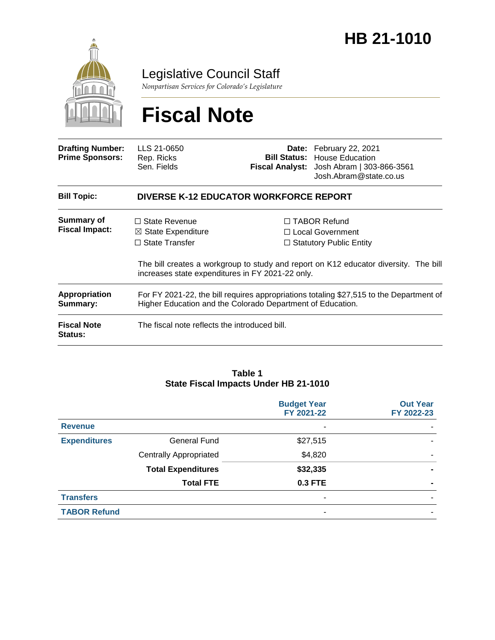

## Legislative Council Staff

*Nonpartisan Services for Colorado's Legislature*

# **Fiscal Note**

| <b>Drafting Number:</b><br><b>Prime Sponsors:</b> | LLS 21-0650<br>Rep. Ricks<br>Sen. Fields                                                                                                              |  | Date: February 22, 2021<br><b>Bill Status:</b> House Education<br>Fiscal Analyst: Josh Abram   303-866-3561<br>Josh.Abram@state.co.us |  |  |
|---------------------------------------------------|-------------------------------------------------------------------------------------------------------------------------------------------------------|--|---------------------------------------------------------------------------------------------------------------------------------------|--|--|
| <b>Bill Topic:</b>                                | <b>DIVERSE K-12 EDUCATOR WORKFORCE REPORT</b>                                                                                                         |  |                                                                                                                                       |  |  |
| Summary of<br><b>Fiscal Impact:</b>               | $\Box$ State Revenue                                                                                                                                  |  | $\Box$ TABOR Refund                                                                                                                   |  |  |
|                                                   | $\boxtimes$ State Expenditure                                                                                                                         |  | $\Box$ Local Government                                                                                                               |  |  |
|                                                   | $\Box$ State Transfer                                                                                                                                 |  | $\Box$ Statutory Public Entity                                                                                                        |  |  |
|                                                   | The bill creates a workgroup to study and report on K12 educator diversity. The bill<br>increases state expenditures in FY 2021-22 only.              |  |                                                                                                                                       |  |  |
| Appropriation<br>Summary:                         | For FY 2021-22, the bill requires appropriations totaling \$27,515 to the Department of<br>Higher Education and the Colorado Department of Education. |  |                                                                                                                                       |  |  |
| <b>Fiscal Note</b><br><b>Status:</b>              | The fiscal note reflects the introduced bill.                                                                                                         |  |                                                                                                                                       |  |  |

#### **Table 1 State Fiscal Impacts Under HB 21-1010**

|                     |                               | <b>Budget Year</b><br>FY 2021-22 | <b>Out Year</b><br>FY 2022-23 |
|---------------------|-------------------------------|----------------------------------|-------------------------------|
| <b>Revenue</b>      |                               | ٠                                |                               |
| <b>Expenditures</b> | General Fund                  | \$27,515                         |                               |
|                     | <b>Centrally Appropriated</b> | \$4,820                          |                               |
|                     | <b>Total Expenditures</b>     | \$32,335                         |                               |
|                     | <b>Total FTE</b>              | 0.3 FTE                          | $\blacksquare$                |
| <b>Transfers</b>    |                               | ٠                                |                               |
| <b>TABOR Refund</b> |                               | ۰                                |                               |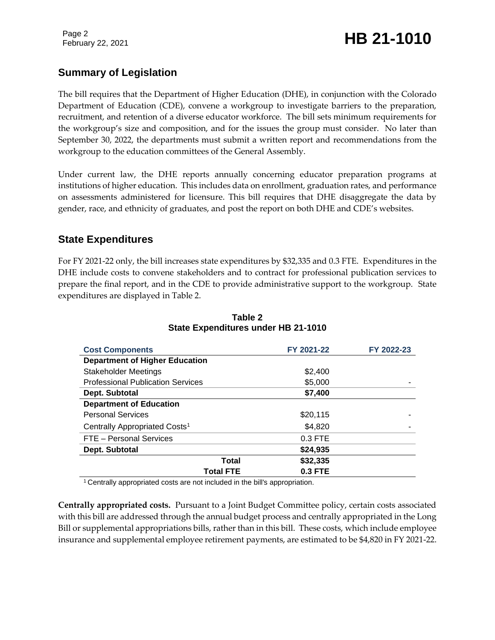Page 2

# February 22, 2021 **HB 21-1010**

## **Summary of Legislation**

The bill requires that the Department of Higher Education (DHE), in conjunction with the Colorado Department of Education (CDE), convene a workgroup to investigate barriers to the preparation, recruitment, and retention of a diverse educator workforce. The bill sets minimum requirements for the workgroup's size and composition, and for the issues the group must consider. No later than September 30, 2022, the departments must submit a written report and recommendations from the workgroup to the education committees of the General Assembly.

Under current law, the DHE reports annually concerning educator preparation programs at institutions of higher education. This includes data on enrollment, graduation rates, and performance on assessments administered for licensure. This bill requires that DHE disaggregate the data by gender, race, and ethnicity of graduates, and post the report on both DHE and CDE's websites.

## **State Expenditures**

For FY 2021-22 only, the bill increases state expenditures by \$32,335 and 0.3 FTE. Expenditures in the DHE include costs to convene stakeholders and to contract for professional publication services to prepare the final report, and in the CDE to provide administrative support to the workgroup. State expenditures are displayed in Table 2.

| <b>Cost Components</b>                    | FY 2021-22 | FY 2022-23 |
|-------------------------------------------|------------|------------|
| <b>Department of Higher Education</b>     |            |            |
| <b>Stakeholder Meetings</b>               | \$2,400    |            |
| <b>Professional Publication Services</b>  | \$5,000    |            |
| Dept. Subtotal                            | \$7,400    |            |
| <b>Department of Education</b>            |            |            |
| <b>Personal Services</b>                  | \$20,115   |            |
| Centrally Appropriated Costs <sup>1</sup> | \$4,820    |            |
| FTE - Personal Services                   | 0.3 FTE    |            |
| Dept. Subtotal                            | \$24,935   |            |
| Total                                     | \$32,335   |            |
| <b>Total FTE</b>                          | 0.3 FTE    |            |

#### **Table 2 State Expenditures under HB 21-1010**

<sup>1</sup> Centrally appropriated costs are not included in the bill's appropriation.

**Centrally appropriated costs.** Pursuant to a Joint Budget Committee policy, certain costs associated with this bill are addressed through the annual budget process and centrally appropriated in the Long Bill or supplemental appropriations bills, rather than in this bill. These costs, which include employee insurance and supplemental employee retirement payments, are estimated to be \$4,820 in FY 2021-22.